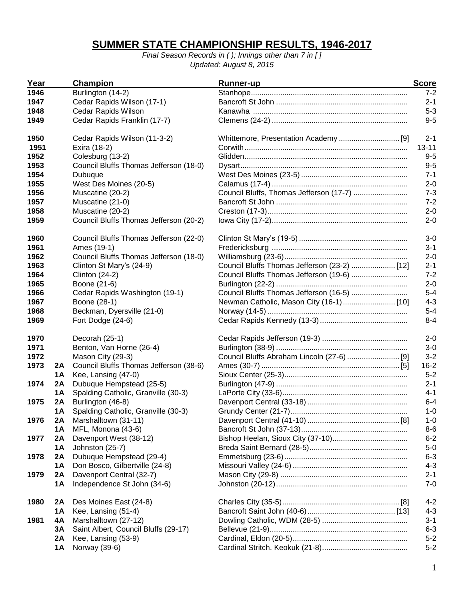## **SUMMER STATE CHAMPIONSHIP RESULTS, 1946-2017**

*Final Season Records in ( ); Innings other than 7 in [ ] Updated: August 8, 2015*

| Year |           | Champion                               | Runner-up                                    | <b>Score</b> |
|------|-----------|----------------------------------------|----------------------------------------------|--------------|
| 1946 |           | Burlington (14-2)                      |                                              | $7 - 2$      |
| 1947 |           | Cedar Rapids Wilson (17-1)             |                                              | $2 - 1$      |
| 1948 |           | Cedar Rapids Wilson                    |                                              | $5 - 3$      |
| 1949 |           | Cedar Rapids Franklin (17-7)           |                                              | $9 - 5$      |
| 1950 |           | Cedar Rapids Wilson (11-3-2)           |                                              | $2 - 1$      |
| 1951 |           | Exira (18-2)                           |                                              | $13 - 11$    |
| 1952 |           | Colesburg (13-2)                       |                                              | $9 - 5$      |
| 1953 |           | Council Bluffs Thomas Jefferson (18-0) |                                              | $9-5$        |
| 1954 |           | Dubuque                                |                                              | $7 - 1$      |
| 1955 |           | West Des Moines (20-5)                 |                                              | $2 - 0$      |
| 1956 |           | Muscatine (20-2)                       | Council Bluffs, Thomas Jefferson (17-7)      | $7 - 3$      |
| 1957 |           | Muscatine (21-0)                       |                                              | $7 - 2$      |
| 1958 |           | Muscatine (20-2)                       |                                              | $2 - 0$      |
| 1959 |           | Council Bluffs Thomas Jefferson (20-2) |                                              | $2 - 0$      |
| 1960 |           | Council Bluffs Thomas Jefferson (22-0) |                                              | $3-0$        |
| 1961 |           | Ames (19-1)                            |                                              | $3 - 1$      |
| 1962 |           | Council Bluffs Thomas Jefferson (18-0) |                                              | $2 - 0$      |
| 1963 |           | Clinton St Mary's (24-9)               | Council Bluffs Thomas Jefferson (23-2)  [12] | $2 - 1$      |
| 1964 |           | <b>Clinton (24-2)</b>                  | Council Bluffs Thomas Jefferson (19-6)       | $7 - 2$      |
| 1965 |           | Boone (21-6)                           |                                              | $2 - 0$      |
| 1966 |           | Cedar Rapids Washington (19-1)         | Council Bluffs Thomas Jefferson (16-5)       | $5-4$        |
| 1967 |           | Boone (28-1)                           |                                              | $4 - 3$      |
| 1968 |           | Beckman, Dyersville (21-0)             |                                              | $5-4$        |
| 1969 |           | Fort Dodge (24-6)                      |                                              | $8 - 4$      |
| 1970 |           | Decorah (25-1)                         |                                              | $2 - 0$      |
| 1971 |           | Benton, Van Horne (26-4)               |                                              | $3-0$        |
| 1972 |           | Mason City (29-3)                      |                                              | $3 - 2$      |
| 1973 | 2A        | Council Bluffs Thomas Jefferson (38-6) |                                              | $16 - 2$     |
|      | <b>1A</b> | Kee, Lansing (47-0)                    |                                              | $5 - 2$      |
| 1974 | 2A        | Dubuque Hempstead (25-5)               |                                              | $2 - 1$      |
|      | <b>1A</b> | Spalding Catholic, Granville (30-3)    |                                              | $4 - 1$      |
| 1975 | 2A        | Burlington (46-8)                      |                                              | $6 - 4$      |
|      | <b>1A</b> | Spalding Catholic, Granville (30-3)    |                                              | $1 - 0$      |
| 1976 | 2A        | Marshalltown (31-11)                   |                                              | 1-0          |
|      | <b>1A</b> | MFL, Monona (43-6)                     |                                              | $8-6$        |
| 1977 | 2A        | Davenport West (38-12)                 |                                              | $6 - 2$      |
|      | <b>1A</b> | Johnston (25-7)                        |                                              | $5-0$        |
| 1978 | 2A        | Dubuque Hempstead (29-4)               |                                              | $6 - 3$      |
|      | <b>1A</b> | Don Bosco, Gilbertville (24-8)         |                                              | $4 - 3$      |
| 1979 | 2A        | Davenport Central (32-7)               |                                              | $2 - 1$      |
|      | <b>1A</b> | Independence St John (34-6)            |                                              | $7 - 0$      |
| 1980 | 2A        | Des Moines East (24-8)                 |                                              | $4 - 2$      |
|      | 1A        | Kee, Lansing (51-4)                    |                                              | $4 - 3$      |
| 1981 | 4A        | Marshalltown (27-12)                   |                                              | $3 - 1$      |
|      | 3A        | Saint Albert, Council Bluffs (29-17)   |                                              | $6 - 3$      |
|      | 2A        | Kee, Lansing (53-9)                    |                                              | $5-2$        |
|      | <b>1A</b> | Norway (39-6)                          |                                              | $5-2$        |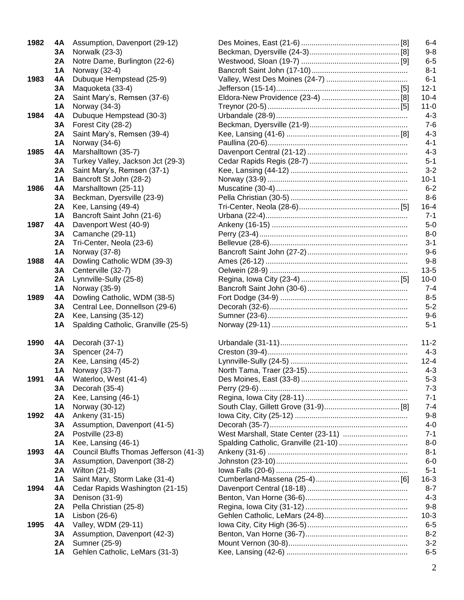| 1982 | 4Α  | Assumption, Davenport (29-12)        |
|------|-----|--------------------------------------|
|      | 3Α  | Norwalk (23-3)                       |
|      | 2A  | Notre Dame, Burlington (22-6)        |
|      | 1 A | Norway (32-4)                        |
| 1983 | 4Α  | Dubuque Hempstead (25-9)             |
|      | 3Α  | Maquoketa (33-4)                     |
|      | 2A  | Saint Mary's, Remsen (37-6)          |
|      | 1 A | Norway (34-3)                        |
| 1984 | 4Α  | Dubuque Hempstead (30-3)             |
|      | 3Α  | Forest City (28-2)                   |
|      | 2A  | Saint Mary's, Remsen (39-4)          |
|      | 1 A | Norway (34-6)                        |
| 1985 | 4Α  | Marshalltown (35-7)                  |
|      | 3Α  | Turkey Valley, Jackson Jct (29-3)    |
|      | 2A  | Saint Mary's, Remsen (37-1)          |
|      | 1 A | Bancroft St John (28-2)              |
| 1986 | 4Α  | Marshalltown (25-11)                 |
|      | 3Α  | Beckman, Dyersville (23-9)           |
|      | 2A  | Kee, Lansing (49-4)                  |
|      | 1 A | Bancroft Saint John (21-6)           |
| 1987 | 4Α  | Davenport West (40-9)                |
|      | 3Α  | Camanche (29-11)                     |
|      | 2A  | Tri-Center, Neola (23-6)             |
|      | 1 A | Norway (37-8)                        |
| 1988 | 4Α  | Dowling Catholic WDM (39-3)          |
|      | 3Α  | Centerville (32-7)                   |
|      | 2A  | Lynnville-Sully (25-8)               |
|      | 1 A | Norway (35-9)                        |
| 1989 | 4Α  | Dowling Catholic, WDM (38-5)         |
|      | 3Α  | Central Lee, Donnellson (29-6)       |
|      | 2A  | Kee, Lansing (35-12)                 |
|      | 1 A | Spalding Catholic, Granville (25-5)  |
| 1990 | 4Α  | Decorah (37-1)                       |
|      | 3A  | Spencer (24-7)                       |
|      | 2A  | Kee, Lansing (45-2)                  |
|      | 1Α  | Norway (33-7)                        |
| 1991 | 4A  | Waterloo, West (41-4)                |
|      | 3А  | Decorah (35-4)                       |
|      | 2A  | Kee, Lansing (46-1)                  |
|      | 1Α  | Norway (30-12)                       |
| 1992 | 4Α  | Ankeny (31-15)                       |
|      | 3A  | Assumption, Davenport (41-5)         |
|      | 2A  | Postville (23-8)                     |
|      | 1Α  | Kee, Lansing (46-1)                  |
| 1993 | 4Α  | Council Bluffs Thomas Jefferson (41- |
|      | 3A  | Assumption, Davenport (38-2)         |
|      | 2A  | Wilton (21-8)                        |
|      | 1Α  | Saint Mary, Storm Lake (31-4)        |
| 1994 | 4Α  | Cedar Rapids Washington (21-15)      |
|      | 3A  | Denison (31-9)                       |
|      | 2A  | Pella Christian (25-8)               |
|      | 1Α  | Lisbon (26-6)                        |
| 1995 | 4Α  | Valley, WDM (29-11)                  |
|      | 3A  | Assumption, Davenport (42-3)         |
|      | 2A  | Sumner (25-9)                        |
|      | 1Α  | Gehlen Catholic, LeMars (31-3)       |

| 1982 | 4A        | Assumption, Davenport (29-12)          |  | $6 - 4$  |
|------|-----------|----------------------------------------|--|----------|
|      | 3А        | Norwalk (23-3)                         |  | $9 - 8$  |
|      | 2A        | Notre Dame, Burlington (22-6)          |  | $6 - 5$  |
|      | 1A        | Norway (32-4)                          |  | $8 - 1$  |
| 1983 | 4A        | Dubuque Hempstead (25-9)               |  | $6 - 1$  |
|      | 3Α        | Maquoketa (33-4)                       |  | $12 - 1$ |
|      | 2A        | Saint Mary's, Remsen (37-6)            |  | $10 - 4$ |
|      | 1A        | Norway (34-3)                          |  | $11 - 0$ |
| 1984 | 4A        | Dubuque Hempstead (30-3)               |  | $4 - 3$  |
|      | 3Α        | Forest City (28-2)                     |  | $7 - 6$  |
|      | 2A        | Saint Mary's, Remsen (39-4)            |  | $4 - 3$  |
|      | 1A        | Norway (34-6)                          |  | $4 - 1$  |
| 1985 | 4A        | Marshalltown (35-7)                    |  | $4 - 3$  |
|      | 3Α        | Turkey Valley, Jackson Jct (29-3)      |  | $5 - 1$  |
|      | 2A        | Saint Mary's, Remsen (37-1)            |  | $3 - 2$  |
|      | 1A        | Bancroft St John (28-2)                |  | $10-1$   |
| 1986 | 4A        | Marshalltown (25-11)                   |  | $6 - 2$  |
|      | 3Α        | Beckman, Dyersville (23-9)             |  | $8-6$    |
|      | 2A        | Kee, Lansing (49-4)                    |  | $16 - 4$ |
|      | 1A        | Bancroft Saint John (21-6)             |  | $7 - 1$  |
| 1987 | 4A        | Davenport West (40-9)                  |  | $5-0$    |
|      | 3Α        | Camanche (29-11)                       |  | $8 - 0$  |
|      |           |                                        |  | $3 - 1$  |
|      | 2A        | Tri-Center, Neola (23-6)               |  | $9 - 6$  |
|      | 1A        | Norway (37-8)                          |  | $9 - 8$  |
| 1988 | 4A        | Dowling Catholic WDM (39-3)            |  |          |
|      | 3Α        | Centerville (32-7)                     |  | $13 - 5$ |
|      | 2A        | Lynnville-Sully (25-8)                 |  | $10 - 0$ |
|      | 1A        | Norway (35-9)                          |  | $7 - 4$  |
| 1989 | 4A        | Dowling Catholic, WDM (38-5)           |  | $8 - 5$  |
|      | 3Α        | Central Lee, Donnellson (29-6)         |  | $5 - 2$  |
|      | 2A        | Kee, Lansing (35-12)                   |  | $9 - 6$  |
|      | 1A        | Spalding Catholic, Granville (25-5)    |  | $5 - 1$  |
|      |           |                                        |  |          |
| 1990 | 4A        | Decorah (37-1)                         |  | $11 - 2$ |
|      | 3А        | Spencer (24-7)                         |  | $4 - 3$  |
|      | 2A        | Kee, Lansing (45-2)                    |  | $12 - 4$ |
|      | <b>1A</b> | Norway (33-7)                          |  | $4 - 3$  |
| 1991 | 4A        | Waterloo, West (41-4)                  |  | $5 - 3$  |
|      | 3Α        | Decorah (35-4)                         |  | $7 - 3$  |
|      | 2A        | Kee, Lansing (46-1)                    |  | $7 - 1$  |
|      | 1A        | Norway (30-12)                         |  | $7 - 4$  |
| 1992 | 4A        | Ankeny (31-15)                         |  | $9 - 8$  |
|      | 3Α        | Assumption, Davenport (41-5)           |  | $4 - 0$  |
|      | 2A        | Postville (23-8)                       |  | $7 - 1$  |
|      | 1A        | Kee, Lansing (46-1)                    |  | $8 - 0$  |
| 1993 | 4A        | Council Bluffs Thomas Jefferson (41-3) |  | $8 - 1$  |
|      | 3Α        | Assumption, Davenport (38-2)           |  | $6 - 0$  |
|      | 2A        | Wilton (21-8)                          |  | $5 - 1$  |
|      | 1A        | Saint Mary, Storm Lake (31-4)          |  | $16 - 3$ |
| 1994 | 4A        | Cedar Rapids Washington (21-15)        |  | $8 - 7$  |
|      | 3Α        | Denison (31-9)                         |  | $4 - 3$  |
|      | 2A        | Pella Christian (25-8)                 |  | $9 - 8$  |
|      | 1A        | Lisbon (26-6)                          |  | $10-3$   |
| 1995 | 4A        | Valley, WDM (29-11)                    |  | $6 - 5$  |
|      | 3Α        | Assumption, Davenport (42-3)           |  | $8 - 2$  |
|      | 2A        | Sumner (25-9)                          |  | $3 - 2$  |
|      | 1A        | Gehlen Catholic, LeMars (31-3)         |  | $6 - 5$  |
|      |           |                                        |  |          |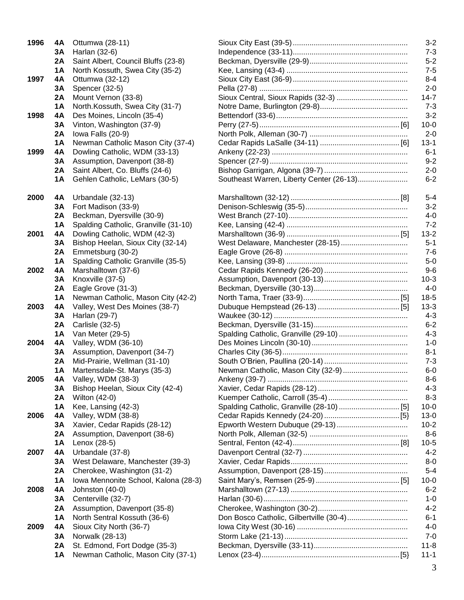| 1996 | 4Α       | Ottumwa (28-11)                                        |
|------|----------|--------------------------------------------------------|
|      | 3A       | Harlan (32-6)                                          |
|      | 2A       | Saint Albert, Council Bluffs (23-8)                    |
|      | 1A       | North Kossuth, Swea City (35-2)                        |
| 1997 | 4A       | Ottumwa (32-12)                                        |
|      | 3A       | Spencer (32-5)                                         |
|      | 2A       | Mount Vernon (33-8)                                    |
|      | 1Α       | North.Kossuth, Swea City (31-7)                        |
| 1998 | 4A       | Des Moines, Lincoln (35-4)                             |
|      | 3A       | Vinton, Washington (37-9)                              |
|      | 2A -     | lowa Falls (20-9)                                      |
|      | 1A       | Newman Catholic Mason City (37-4)                      |
| 1999 | 4A       | Dowling Catholic, WDM (33-13)                          |
|      | 3A       | Assumption, Davenport (38-8)                           |
|      | 2A -     | Saint Albert, Co. Bluffs (24-6)                        |
|      | 1Α       | Gehlen Catholic, LeMars (30-5)                         |
| 2000 | 4Α       | Urbandale (32-13)                                      |
|      | 3A       | Fort Madison (33-9)                                    |
|      | 2A       | Beckman, Dyersville (30-9)                             |
|      | 1 A      | Spalding Catholic, Granville (31-10)                   |
| 2001 | 4A       | Dowling Catholic, WDM (42-3)                           |
|      | 3A       | Bishop Heelan, Sioux City (32-14)                      |
|      | 2A       | Emmetsburg (30-2)                                      |
|      | 1A       | Spalding Catholic Granville (35-5)                     |
| 2002 | 4A       | Marshalltown (37-6)                                    |
|      | 3A       | Knoxville (37-5)                                       |
|      | 2A       | Eagle Grove (31-3)                                     |
|      | 1A       | Newman Catholic, Mason City (42-2)                     |
| 2003 | 4Α       | Valley, West Des Moines (38-7)                         |
|      | 3A       | Harlan (29-7)                                          |
|      | 2A       | Carlisle (32-5)                                        |
|      | 1A       | Van Meter (29-5)                                       |
| 2004 | 4A       | Valley, WDM (36-10)                                    |
|      | 3A       | Assumption, Davenport (34-7)                           |
|      | 2A       | Mid-Prairie, Wellman (31-10)                           |
| 2005 | 1A       | Martensdale-St. Marys (35-3)                           |
|      | 4A       | Valley, WDM (38-3)<br>Bishop Heelan, Sioux City (42-4) |
|      | 3А<br>2A | Wilton (42-0)                                          |
|      | 1 A      | Kee, Lansing (42-3)                                    |
| 2006 | 4A       | Valley, WDM (38-8)                                     |
|      | 3A       | Xavier, Cedar Rapids (28-12)                           |
|      | 2A       | Assumption, Davenport (38-6)                           |
|      | 1A       | Lenox (28-5)                                           |
| 2007 | 4A       | Urbandale (37-8)                                       |
|      | 3А       | West Delaware, Manchester (39-3)                       |
|      | 2A       | Cherokee, Washington (31-2)                            |
|      | 1Α       | Iowa Mennonite School, Kalona (28-3)                   |
| 2008 | 4Α       | Johnston (40-0)                                        |
|      | 3Α       | Centerville (32-7)                                     |
|      | 2A       | Assumption, Davenport (35-8)                           |
|      | 1Α       | North Sentral Kossuth (36-6)                           |
| 2009 | 4Α       | Sioux City North (36-7)                                |
|      | 3Α       | Norwalk (28-13)                                        |
|      | 2A       | St. Edmond, Fort Dodge (35-3)                          |
|      | 1Α       | Newman Catholic, Mason City (37-1)                     |
|      |          |                                                        |

| 1996 | 4A        | Ottumwa (28-11)                      |                                          | $3 - 2$  |
|------|-----------|--------------------------------------|------------------------------------------|----------|
|      | 3Α        | Harlan (32-6)                        |                                          | $7 - 3$  |
|      | 2A        | Saint Albert, Council Bluffs (23-8)  |                                          | $5 - 2$  |
|      | 1A        | North Kossuth, Swea City (35-2)      |                                          | $7 - 5$  |
| 1997 | 4Α        | Ottumwa (32-12)                      |                                          | $8 - 4$  |
|      | 3A        | Spencer (32-5)                       |                                          | $2 - 0$  |
|      | 2A        | Mount Vernon (33-8)                  |                                          | $14 - 7$ |
|      | <b>1A</b> | North.Kossuth, Swea City (31-7)      |                                          | $7 - 3$  |
| 1998 | 4A        | Des Moines, Lincoln (35-4)           |                                          | $3 - 2$  |
|      | 3A        | Vinton, Washington (37-9)            |                                          | $10 - 0$ |
|      | 2A        | lowa Falls (20-9)                    |                                          | $2 - 0$  |
|      | <b>1A</b> | Newman Catholic Mason City (37-4)    |                                          | $13 - 1$ |
| 1999 | 4A        | Dowling Catholic, WDM (33-13)        |                                          | $6 - 1$  |
|      | 3A        | Assumption, Davenport (38-8)         |                                          | $9 - 2$  |
|      | 2A        | Saint Albert, Co. Bluffs (24-6)      |                                          | $2 - 0$  |
|      | 1A        | Gehlen Catholic, LeMars (30-5)       | Southeast Warren, Liberty Center (26-13) | $6 - 2$  |
|      |           |                                      |                                          |          |
| 2000 | 4Α        | Urbandale (32-13)                    |                                          | $5 - 4$  |
|      | 3Α        | Fort Madison (33-9)                  |                                          | $3 - 2$  |
|      | 2A        | Beckman, Dyersville (30-9)           |                                          | $4-0$    |
|      | 1A        | Spalding Catholic, Granville (31-10) |                                          | $7 - 2$  |
| 2001 | 4A        | Dowling Catholic, WDM (42-3)         |                                          | $13 - 2$ |
|      | 3A        | Bishop Heelan, Sioux City (32-14)    |                                          | $5 - 1$  |
|      | 2A        | Emmetsburg (30-2)                    |                                          | $7 - 6$  |
|      | 1A        | Spalding Catholic Granville (35-5)   |                                          | $5-0$    |
| 2002 | 4Α        | Marshalltown (37-6)                  |                                          | $9-6$    |
|      | 3A        | Knoxville (37-5)                     |                                          | $10-3$   |
|      | 2A        | Eagle Grove (31-3)                   |                                          | $4 - 0$  |
|      | 1A        | Newman Catholic, Mason City (42-2)   |                                          | $18-5$   |
| 2003 | 4Α        | Valley, West Des Moines (38-7)       |                                          | $13 - 3$ |
|      | 3A        | Harlan (29-7)                        |                                          | $4 - 3$  |
|      | 2A        | Carlisle (32-5)                      |                                          | $6 - 2$  |
|      | 1A        | Van Meter (29-5)                     |                                          | $4 - 3$  |
| 2004 | 4Α        | Valley, WDM (36-10)                  |                                          | $1 - 0$  |
|      | 3Α        | Assumption, Davenport (34-7)         |                                          | $8 - 1$  |
|      | 2A        | Mid-Prairie, Wellman (31-10)         |                                          | $7 - 3$  |
|      | 1A        | Martensdale-St. Marys (35-3)         | Newman Catholic, Mason City (32-9)       | $6-0$    |
| 2005 | 4Α        | Valley, WDM (38-3)                   |                                          | $8-6$    |
|      | 3Α        | Bishop Heelan, Sioux City (42-4)     |                                          | $4 - 3$  |
|      | 2A        | Wilton (42-0)                        |                                          | $8 - 3$  |
|      | 1A        | Kee, Lansing (42-3)                  |                                          | $10 - 0$ |
| 2006 | 4Α        | Valley, WDM (38-8)                   |                                          | $13-0$   |
|      | 3Α        | Xavier, Cedar Rapids (28-12)         |                                          | $10-2$   |
|      | 2A        | Assumption, Davenport (38-6)         |                                          | $8-6$    |
|      | 1A        | Lenox (28-5)                         |                                          | $10-5$   |
| 2007 | 4Α        | Urbandale (37-8)                     |                                          | $4 - 2$  |
|      | 3Α        | West Delaware, Manchester (39-3)     |                                          | $8-0$    |
|      | 2A        | Cherokee, Washington (31-2)          |                                          | $5 - 4$  |
|      | 1A        | Iowa Mennonite School, Kalona (28-3) |                                          | $10 - 0$ |
| 2008 | 4Α        | Johnston (40-0)                      |                                          | $6 - 2$  |
|      | 3A        | Centerville (32-7)                   |                                          | $1 - 0$  |
|      | 2A        | Assumption, Davenport (35-8)         |                                          | $4 - 2$  |
|      | 1A        | North Sentral Kossuth (36-6)         |                                          | $6 - 1$  |
| 2009 | 4Α        | Sioux City North (36-7)              |                                          | $4 - 0$  |
|      | 3A        | Norwalk (28-13)                      |                                          | $7 - 0$  |
|      | 2A        | St. Edmond, Fort Dodge (35-3)        |                                          | $11 - 8$ |
|      | 1 A       | Newman Catholic, Mason City (37-1)   |                                          | $11 - 1$ |
|      |           |                                      |                                          |          |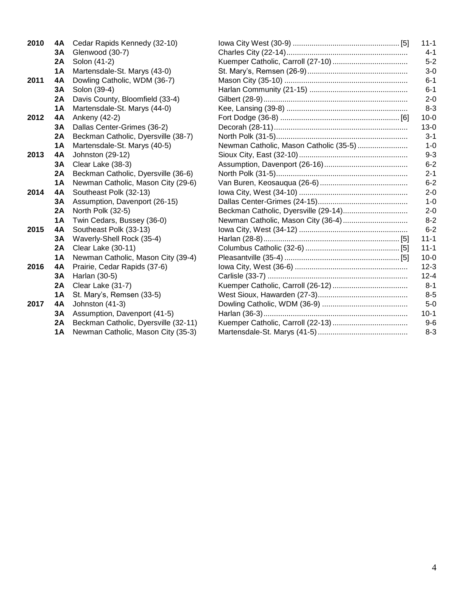| 2010 | 4A        | Cedar Rapids Kennedy (32-10)         |                                        | $11 - 1$ |
|------|-----------|--------------------------------------|----------------------------------------|----------|
|      | 3A        | Glenwood (30-7)                      |                                        | $4 - 1$  |
|      | 2A        | Solon (41-2)                         |                                        | $5-2$    |
|      | 1A        | Martensdale-St. Marys (43-0)         |                                        | $3-0$    |
| 2011 | 4A        | Dowling Catholic, WDM (36-7)         |                                        | $6 - 1$  |
|      | 3A        | Solon (39-4)                         |                                        | $6 - 1$  |
|      | 2A        | Davis County, Bloomfield (33-4)      |                                        | $2 - 0$  |
|      | 1A        | Martensdale-St. Marys (44-0)         |                                        | $8 - 3$  |
| 2012 | 4A        | Ankeny (42-2)                        |                                        | $10 - 0$ |
|      | 3A        | Dallas Center-Grimes (36-2)          |                                        | $13 - 0$ |
|      | 2A        | Beckman Catholic, Dyersville (38-7)  |                                        | $3 - 1$  |
|      | <b>1A</b> | Martensdale-St. Marys (40-5)         | Newman Catholic, Mason Catholic (35-5) | $1 - 0$  |
| 2013 | 4A        | Johnston (29-12)                     |                                        | $9 - 3$  |
|      | 3A        | Clear Lake (38-3)                    |                                        | $6 - 2$  |
|      | 2A        | Beckman Catholic, Dyersville (36-6)  |                                        | $2 - 1$  |
|      | <b>1A</b> | Newman Catholic, Mason City (29-6)   |                                        | $6 - 2$  |
| 2014 | 4A        | Southeast Polk (32-13)               |                                        | $2 - 0$  |
|      | 3A        | Assumption, Davenport (26-15)        |                                        | $1 - 0$  |
|      | 2A        | North Polk (32-5)                    |                                        | $2 - 0$  |
|      | 1A        | Twin Cedars, Bussey (36-0)           |                                        | $8 - 2$  |
| 2015 | 4A        | Southeast Polk (33-13)               |                                        | $6 - 2$  |
|      | 3A        | Waverly-Shell Rock (35-4)            |                                        | $11 - 1$ |
|      | <b>2A</b> | Clear Lake (30-11)                   |                                        | $11 - 1$ |
|      | <b>1A</b> | Newman Catholic, Mason City (39-4)   |                                        | $10 - 0$ |
| 2016 | 4A        | Prairie, Cedar Rapids (37-6)         |                                        | $12 - 3$ |
|      | 3A        | Harlan (30-5)                        |                                        | $12 - 4$ |
|      | <b>2A</b> | Clear Lake (31-7)                    |                                        | $8 - 1$  |
|      | 1A        | St. Mary's, Remsen (33-5)            |                                        | $8 - 5$  |
| 2017 | 4A        | Johnston (41-3)                      |                                        | $5-0$    |
|      | 3A        | Assumption, Davenport (41-5)         |                                        | $10-1$   |
|      | 2A        | Beckman Catholic, Dyersville (32-11) |                                        | $9-6$    |
|      | <b>1A</b> | Newman Catholic, Mason City (35-3)   |                                        | $8 - 3$  |
|      |           |                                      |                                        |          |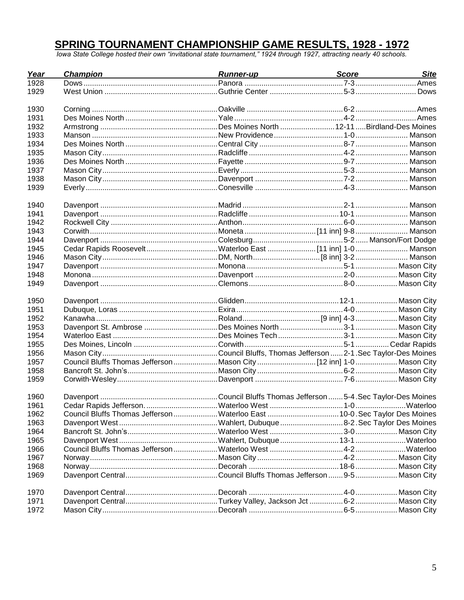## **SPRING TOURNAMENT CHAMPIONSHIP GAME RESULTS, 1928 - 1972**<br>Towa State College hosted their own "invitational state tournament," 1924 through 1927, attracting nearly 40 schools.

| Year | Champion                                                                   | Runner-up<br>and the contract of the contract of the contract of the contract of the contract of the contract of the contract of the contract of the contract of the contract of the contract of the contract of the contract of | <b>Site</b><br>Score __________ |
|------|----------------------------------------------------------------------------|----------------------------------------------------------------------------------------------------------------------------------------------------------------------------------------------------------------------------------|---------------------------------|
| 1928 |                                                                            |                                                                                                                                                                                                                                  |                                 |
| 1929 |                                                                            |                                                                                                                                                                                                                                  |                                 |
| 1930 |                                                                            |                                                                                                                                                                                                                                  |                                 |
| 1931 |                                                                            |                                                                                                                                                                                                                                  |                                 |
| 1932 |                                                                            |                                                                                                                                                                                                                                  |                                 |
| 1933 |                                                                            |                                                                                                                                                                                                                                  |                                 |
| 1934 |                                                                            |                                                                                                                                                                                                                                  |                                 |
| 1935 |                                                                            |                                                                                                                                                                                                                                  |                                 |
| 1936 |                                                                            |                                                                                                                                                                                                                                  |                                 |
| 1937 |                                                                            |                                                                                                                                                                                                                                  |                                 |
| 1938 |                                                                            |                                                                                                                                                                                                                                  |                                 |
| 1939 |                                                                            |                                                                                                                                                                                                                                  |                                 |
|      |                                                                            |                                                                                                                                                                                                                                  |                                 |
| 1940 |                                                                            |                                                                                                                                                                                                                                  |                                 |
| 1941 |                                                                            |                                                                                                                                                                                                                                  |                                 |
| 1942 |                                                                            |                                                                                                                                                                                                                                  |                                 |
| 1943 |                                                                            |                                                                                                                                                                                                                                  |                                 |
| 1944 |                                                                            |                                                                                                                                                                                                                                  |                                 |
| 1945 | Cedar Rapids RooseveltWaterloo East  [11 inn] 1-0 Manson                   |                                                                                                                                                                                                                                  |                                 |
| 1946 |                                                                            |                                                                                                                                                                                                                                  |                                 |
| 1947 |                                                                            |                                                                                                                                                                                                                                  |                                 |
| 1948 |                                                                            |                                                                                                                                                                                                                                  |                                 |
| 1949 |                                                                            |                                                                                                                                                                                                                                  |                                 |
| 1950 |                                                                            |                                                                                                                                                                                                                                  |                                 |
| 1951 |                                                                            |                                                                                                                                                                                                                                  |                                 |
| 1952 |                                                                            |                                                                                                                                                                                                                                  |                                 |
| 1953 |                                                                            |                                                                                                                                                                                                                                  |                                 |
| 1954 |                                                                            |                                                                                                                                                                                                                                  |                                 |
| 1955 |                                                                            |                                                                                                                                                                                                                                  |                                 |
| 1956 |                                                                            |                                                                                                                                                                                                                                  |                                 |
| 1957 | Council Bluffs Thomas Jefferson Mason City  112 inn] 1-0  Mason City       |                                                                                                                                                                                                                                  |                                 |
| 1958 |                                                                            |                                                                                                                                                                                                                                  |                                 |
| 1959 |                                                                            |                                                                                                                                                                                                                                  |                                 |
|      |                                                                            |                                                                                                                                                                                                                                  |                                 |
| 1960 |                                                                            |                                                                                                                                                                                                                                  |                                 |
| 1961 |                                                                            |                                                                                                                                                                                                                                  |                                 |
| 1962 | Council Bluffs Thomas Jefferson Waterloo East  10-0. Sec Taylor Des Moines |                                                                                                                                                                                                                                  |                                 |
| 1963 |                                                                            |                                                                                                                                                                                                                                  |                                 |
| 1964 |                                                                            |                                                                                                                                                                                                                                  |                                 |
| 1965 |                                                                            |                                                                                                                                                                                                                                  |                                 |
| 1966 |                                                                            |                                                                                                                                                                                                                                  |                                 |
| 1967 |                                                                            |                                                                                                                                                                                                                                  |                                 |
| 1968 |                                                                            |                                                                                                                                                                                                                                  |                                 |
| 1969 |                                                                            |                                                                                                                                                                                                                                  |                                 |
| 1970 |                                                                            |                                                                                                                                                                                                                                  |                                 |
| 1971 |                                                                            |                                                                                                                                                                                                                                  |                                 |
| 1972 |                                                                            |                                                                                                                                                                                                                                  |                                 |